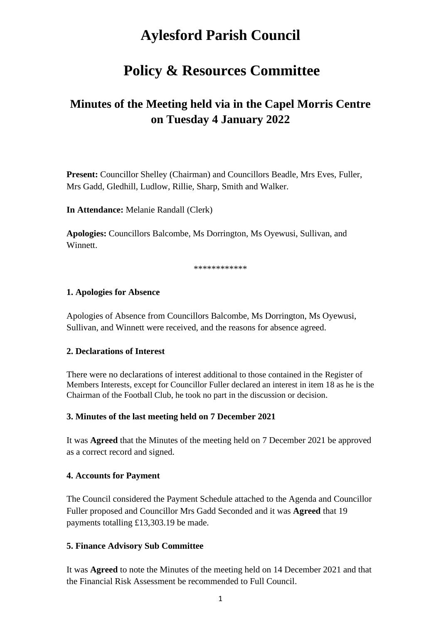# **Aylesford Parish Council**

## **Policy & Resources Committee**

## **Minutes of the Meeting held via in the Capel Morris Centre on Tuesday 4 January 2022**

**Present:** Councillor Shelley (Chairman) and Councillors Beadle, Mrs Eves, Fuller, Mrs Gadd, Gledhill, Ludlow, Rillie, Sharp, Smith and Walker.

**In Attendance:** Melanie Randall (Clerk)

**Apologies:** Councillors Balcombe, Ms Dorrington, Ms Oyewusi, Sullivan, and Winnett.

\*\*\*\*\*\*\*\*\*\*\*

#### **1. Apologies for Absence**

Apologies of Absence from Councillors Balcombe, Ms Dorrington, Ms Oyewusi, Sullivan, and Winnett were received, and the reasons for absence agreed.

#### **2. Declarations of Interest**

There were no declarations of interest additional to those contained in the Register of Members Interests, except for Councillor Fuller declared an interest in item 18 as he is the Chairman of the Football Club, he took no part in the discussion or decision.

#### **3. Minutes of the last meeting held on 7 December 2021**

It was **Agreed** that the Minutes of the meeting held on 7 December 2021 be approved as a correct record and signed.

#### **4. Accounts for Payment**

The Council considered the Payment Schedule attached to the Agenda and Councillor Fuller proposed and Councillor Mrs Gadd Seconded and it was **Agreed** that 19 payments totalling £13,303.19 be made.

#### **5. Finance Advisory Sub Committee**

It was **Agreed** to note the Minutes of the meeting held on 14 December 2021 and that the Financial Risk Assessment be recommended to Full Council.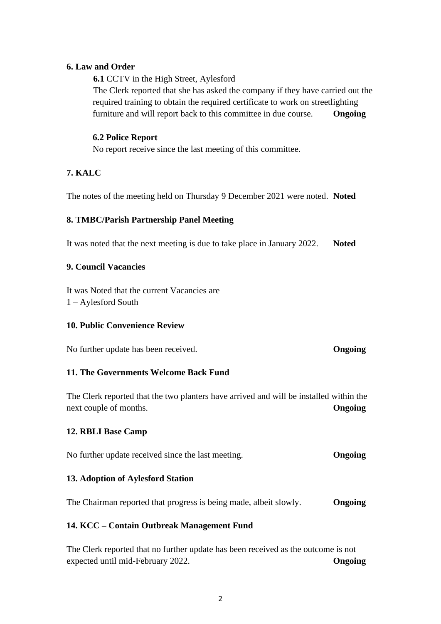## **6. Law and Order**

**6.1** CCTV in the High Street, Aylesford

The Clerk reported that she has asked the company if they have carried out the required training to obtain the required certificate to work on streetlighting furniture and will report back to this committee in due course. **Ongoing**

## **6.2 Police Report**

No report receive since the last meeting of this committee.

## **7. KALC**

The notes of the meeting held on Thursday 9 December 2021 were noted. **Noted**

## **8. TMBC/Parish Partnership Panel Meeting**

It was noted that the next meeting is due to take place in January 2022. **Noted** 

## **9. Council Vacancies**

It was Noted that the current Vacancies are 1 – Aylesford South

#### **10. Public Convenience Review**

No further update has been received. **Ongoing**

## **11. The Governments Welcome Back Fund**

The Clerk reported that the two planters have arrived and will be installed within the next couple of months. **Ongoing**

## **12. RBLI Base Camp**

No further update received since the last meeting. **Ongoing**

## **13. Adoption of Aylesford Station**

The Chairman reported that progress is being made, albeit slowly. **Ongoing**

#### **14. KCC – Contain Outbreak Management Fund**

The Clerk reported that no further update has been received as the outcome is not expected until mid-February 2022. **Ongoing**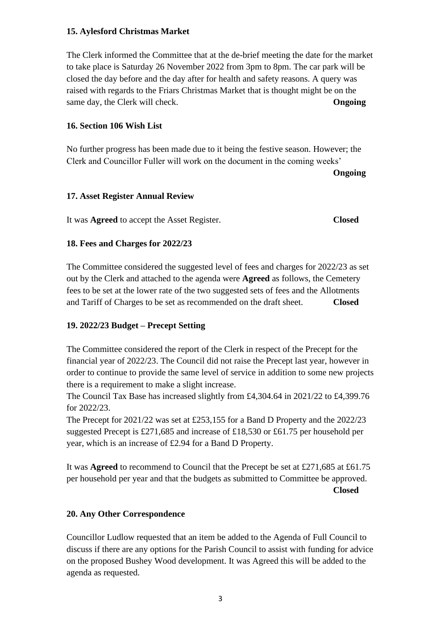## **15. Aylesford Christmas Market**

The Clerk informed the Committee that at the de-brief meeting the date for the market to take place is Saturday 26 November 2022 from 3pm to 8pm. The car park will be closed the day before and the day after for health and safety reasons. A query was raised with regards to the Friars Christmas Market that is thought might be on the same day, the Clerk will check. **Ongoing**

## **16. Section 106 Wish List**

No further progress has been made due to it being the festive season. However; the Clerk and Councillor Fuller will work on the document in the coming weeks'

**Ongoing**

## **17. Asset Register Annual Review**

It was **Agreed** to accept the Asset Register. **Closed**

## **18. Fees and Charges for 2022/23**

The Committee considered the suggested level of fees and charges for 2022/23 as set out by the Clerk and attached to the agenda were **Agreed** as follows, the Cemetery fees to be set at the lower rate of the two suggested sets of fees and the Allotments and Tariff of Charges to be set as recommended on the draft sheet. **Closed**

## **19. 2022/23 Budget – Precept Setting**

The Committee considered the report of the Clerk in respect of the Precept for the financial year of 2022/23. The Council did not raise the Precept last year, however in order to continue to provide the same level of service in addition to some new projects there is a requirement to make a slight increase.

The Council Tax Base has increased slightly from £4,304.64 in 2021/22 to £4,399.76 for 2022/23.

The Precept for 2021/22 was set at £253,155 for a Band D Property and the 2022/23 suggested Precept is £271,685 and increase of £18,530 or £61.75 per household per year, which is an increase of £2.94 for a Band D Property.

It was **Agreed** to recommend to Council that the Precept be set at £271,685 at £61.75 per household per year and that the budgets as submitted to Committee be approved. **Closed**

## **20. Any Other Correspondence**

Councillor Ludlow requested that an item be added to the Agenda of Full Council to discuss if there are any options for the Parish Council to assist with funding for advice on the proposed Bushey Wood development. It was Agreed this will be added to the agenda as requested.